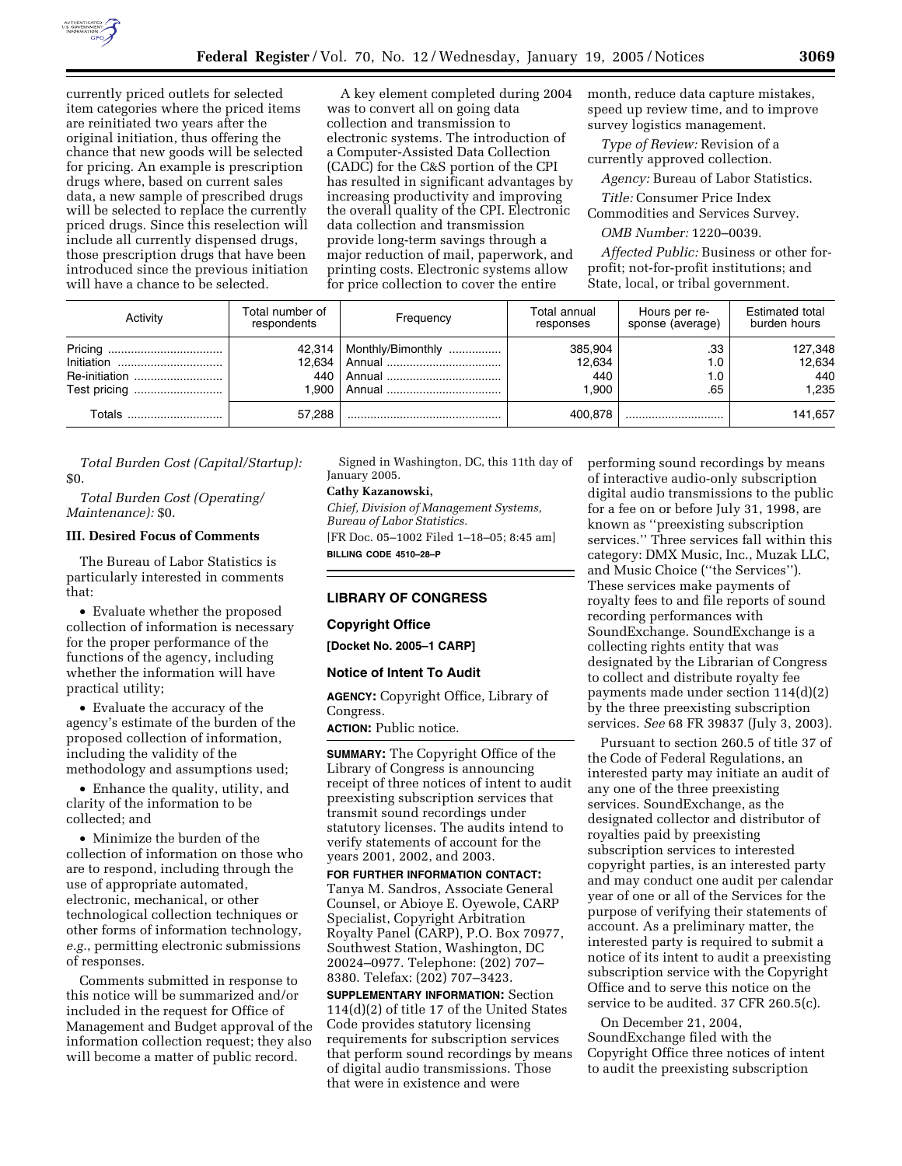

currently priced outlets for selected item categories where the priced items are reinitiated two years after the original initiation, thus offering the chance that new goods will be selected for pricing. An example is prescription drugs where, based on current sales data, a new sample of prescribed drugs will be selected to replace the currently priced drugs. Since this reselection will include all currently dispensed drugs, those prescription drugs that have been introduced since the previous initiation will have a chance to be selected.

A key element completed during 2004 was to convert all on going data collection and transmission to electronic systems. The introduction of a Computer-Assisted Data Collection (CADC) for the C&S portion of the CPI has resulted in significant advantages by increasing productivity and improving the overall quality of the CPI. Electronic data collection and transmission provide long-term savings through a major reduction of mail, paperwork, and printing costs. Electronic systems allow for price collection to cover the entire

month, reduce data capture mistakes, speed up review time, and to improve survey logistics management.

*Type of Review:* Revision of a currently approved collection.

*Agency:* Bureau of Labor Statistics.

*Title:* Consumer Price Index Commodities and Services Survey.

*OMB Number:* 1220–0039.

*Affected Public:* Business or other forprofit; not-for-profit institutions; and State, local, or tribal government.

| Activity                    | Total number of<br>respondents  | Frequency         | Total annual<br>responses        | Hours per re-<br>sponse (average) | <b>Estimated total</b><br>burden hours |
|-----------------------------|---------------------------------|-------------------|----------------------------------|-----------------------------------|----------------------------------------|
| Initiation<br>Re-initiation | 42.314<br>12.634<br>440<br>.900 | Monthly/Bimonthly | 385,904<br>12,634<br>440<br>.900 | .33<br>.65                        | 127,348<br>12,634<br>440<br>1.235      |
| Totals                      | 57.288                          |                   | 400.878                          |                                   | 141.657                                |

*Total Burden Cost (Capital/Startup):* \$0.

*Total Burden Cost (Operating/ Maintenance):* \$0.

# **III. Desired Focus of Comments**

The Bureau of Labor Statistics is particularly interested in comments that:

• Evaluate whether the proposed collection of information is necessary for the proper performance of the functions of the agency, including whether the information will have practical utility;

• Evaluate the accuracy of the agency's estimate of the burden of the proposed collection of information, including the validity of the methodology and assumptions used;

• Enhance the quality, utility, and clarity of the information to be collected; and

• Minimize the burden of the collection of information on those who are to respond, including through the use of appropriate automated, electronic, mechanical, or other technological collection techniques or other forms of information technology, *e.g.*, permitting electronic submissions of responses.

Comments submitted in response to this notice will be summarized and/or included in the request for Office of Management and Budget approval of the information collection request; they also will become a matter of public record.

Signed in Washington, DC, this 11th day of January 2005.

**Cathy Kazanowski,** 

*Chief, Division of Management Systems, Bureau of Labor Statistics.* [FR Doc. 05–1002 Filed 1–18–05; 8:45 am] **BILLING CODE 4510–28–P**

#### **LIBRARY OF CONGRESS**

#### **Copyright Office**

**[Docket No. 2005–1 CARP]**

#### **Notice of Intent To Audit**

**AGENCY:** Copyright Office, Library of Congress.

**ACTION:** Public notice.

**SUMMARY:** The Copyright Office of the Library of Congress is announcing receipt of three notices of intent to audit preexisting subscription services that transmit sound recordings under statutory licenses. The audits intend to verify statements of account for the years 2001, 2002, and 2003.

**FOR FURTHER INFORMATION CONTACT:** Tanya M. Sandros, Associate General Counsel, or Abioye E. Oyewole, CARP Specialist, Copyright Arbitration Royalty Panel (CARP), P.O. Box 70977, Southwest Station, Washington, DC 20024–0977. Telephone: (202) 707– 8380. Telefax: (202) 707–3423.

**SUPPLEMENTARY INFORMATION:** Section 114(d)(2) of title 17 of the United States Code provides statutory licensing requirements for subscription services that perform sound recordings by means of digital audio transmissions. Those that were in existence and were

performing sound recordings by means of interactive audio-only subscription digital audio transmissions to the public for a fee on or before July 31, 1998, are known as ''preexisting subscription services.'' Three services fall within this category: DMX Music, Inc., Muzak LLC, and Music Choice (''the Services''). These services make payments of royalty fees to and file reports of sound recording performances with SoundExchange. SoundExchange is a collecting rights entity that was designated by the Librarian of Congress to collect and distribute royalty fee payments made under section 114(d)(2) by the three preexisting subscription services. *See* 68 FR 39837 (July 3, 2003).

Pursuant to section 260.5 of title 37 of the Code of Federal Regulations, an interested party may initiate an audit of any one of the three preexisting services. SoundExchange, as the designated collector and distributor of royalties paid by preexisting subscription services to interested copyright parties, is an interested party and may conduct one audit per calendar year of one or all of the Services for the purpose of verifying their statements of account. As a preliminary matter, the interested party is required to submit a notice of its intent to audit a preexisting subscription service with the Copyright Office and to serve this notice on the service to be audited. 37 CFR 260.5(c).

On December 21, 2004, SoundExchange filed with the Copyright Office three notices of intent to audit the preexisting subscription